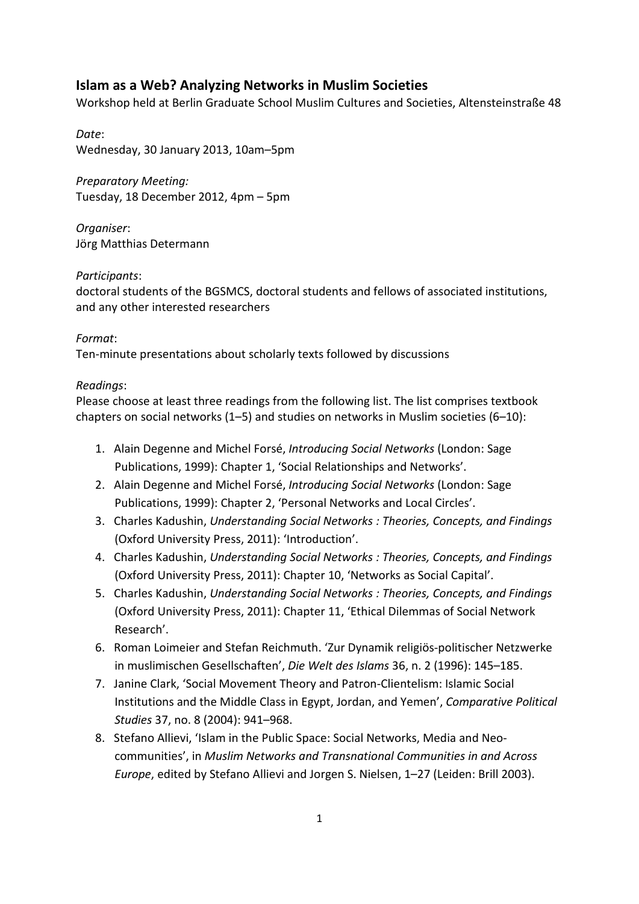# **Islam as a Web? Analyzing Networks in Muslim Societies**

Workshop held at Berlin Graduate School Muslim Cultures and Societies, Altensteinstraße 48

*Date*: Wednesday, 30 January 2013, 10am–5pm

*Preparatory Meeting:* Tuesday, 18 December 2012, 4pm – 5pm

*Organiser*: Jörg Matthias Determann

#### *Participants*:

doctoral students of the BGSMCS, doctoral students and fellows of associated institutions, and any other interested researchers

#### *Format*:

Ten-minute presentations about scholarly texts followed by discussions

#### *Readings*:

Please choose at least three readings from the following list. The list comprises textbook chapters on social networks (1–5) and studies on networks in Muslim societies (6–10):

- 1. Alain Degenne and Michel Forsé, *Introducing Social Networks* (London: Sage Publications, 1999): Chapter 1, 'Social Relationships and Networks'.
- 2. Alain Degenne and Michel Forsé, *Introducing Social Networks* (London: Sage Publications, 1999): Chapter 2, 'Personal Networks and Local Circles'.
- 3. Charles Kadushin, *Understanding Social Networks : Theories, Concepts, and Findings* (Oxford University Press, 2011): 'Introduction'.
- 4. Charles Kadushin, *Understanding Social Networks : Theories, Concepts, and Findings* (Oxford University Press, 2011): Chapter 10, 'Networks as Social Capital'.
- 5. Charles Kadushin, *Understanding Social Networks : Theories, Concepts, and Findings* (Oxford University Press, 2011): Chapter 11, 'Ethical Dilemmas of Social Network Research'.
- 6. Roman Loimeier and Stefan Reichmuth. 'Zur Dynamik religiös-politischer Netzwerke in muslimischen Gesellschaften', *Die Welt des Islams* 36, n. 2 (1996): 145–185.
- 7. Janine Clark, 'Social Movement Theory and Patron-Clientelism: Islamic Social Institutions and the Middle Class in Egypt, Jordan, and Yemen', *Comparative Political Studies* 37, no. 8 (2004): 941–968.
- 8. Stefano Allievi, 'Islam in the Public Space: Social Networks, Media and Neocommunities', in *Muslim Networks and Transnational Communities in and Across Europe*, edited by Stefano Allievi and Jorgen S. Nielsen, 1–27 (Leiden: Brill 2003).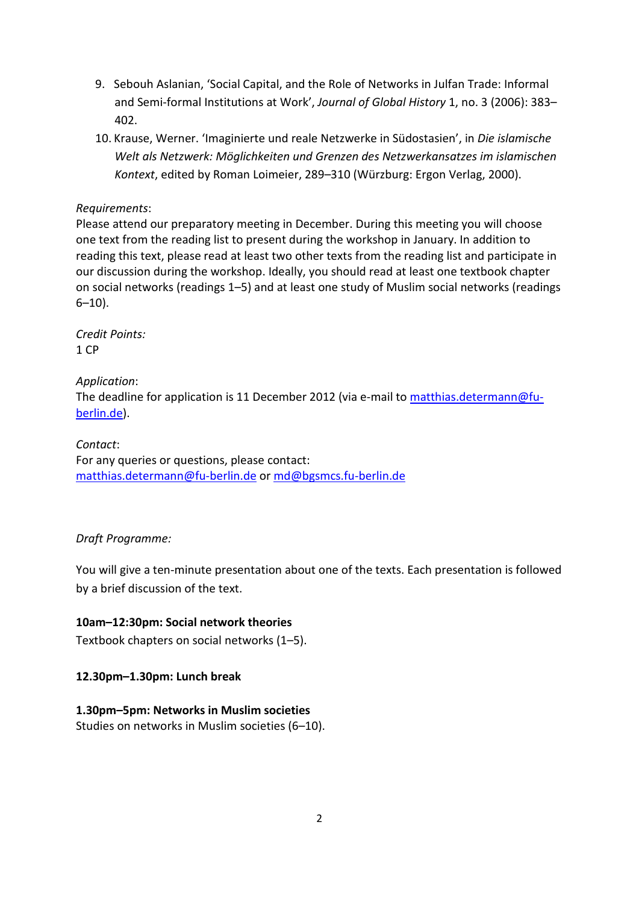- 9. Sebouh Aslanian, 'Social Capital, and the Role of Networks in Julfan Trade: Informal and Semi-formal Institutions at Work', *Journal of Global History* 1, no. 3 (2006): 383– 402.
- 10. Krause, Werner. 'Imaginierte und reale Netzwerke in Südostasien', in *Die islamische Welt als Netzwerk: Möglichkeiten und Grenzen des Netzwerkansatzes im islamischen Kontext*, edited by Roman Loimeier, 289–310 (Würzburg: Ergon Verlag, 2000).

#### *Requirements*:

Please attend our preparatory meeting in December. During this meeting you will choose one text from the reading list to present during the workshop in January. In addition to reading this text, please read at least two other texts from the reading list and participate in our discussion during the workshop. Ideally, you should read at least one textbook chapter on social networks (readings 1–5) and at least one study of Muslim social networks (readings  $6 - 10$ ).

*Credit Points:* 1 CP

*Application*: The deadline for application is 11 December 2012 (via e-mail to [matthias.determann@fu](mailto:matthias.determann@fu-berlin.de)[berlin.de\)](mailto:matthias.determann@fu-berlin.de).

*Contact*: For any queries or questions, please contact: [matthias.determann@fu-berlin.de](mailto:matthias.determann@fu-berlin.de) or [md@bgsmcs.fu-berlin.de](mailto:md@bgsmcs.fu-berlin.de)

# *Draft Programme:*

You will give a ten-minute presentation about one of the texts. Each presentation is followed by a brief discussion of the text.

# **10am–12:30pm: Social network theories**

Textbook chapters on social networks (1–5).

# **12.30pm–1.30pm: Lunch break**

# **1.30pm–5pm: Networks in Muslim societies**

Studies on networks in Muslim societies (6–10).